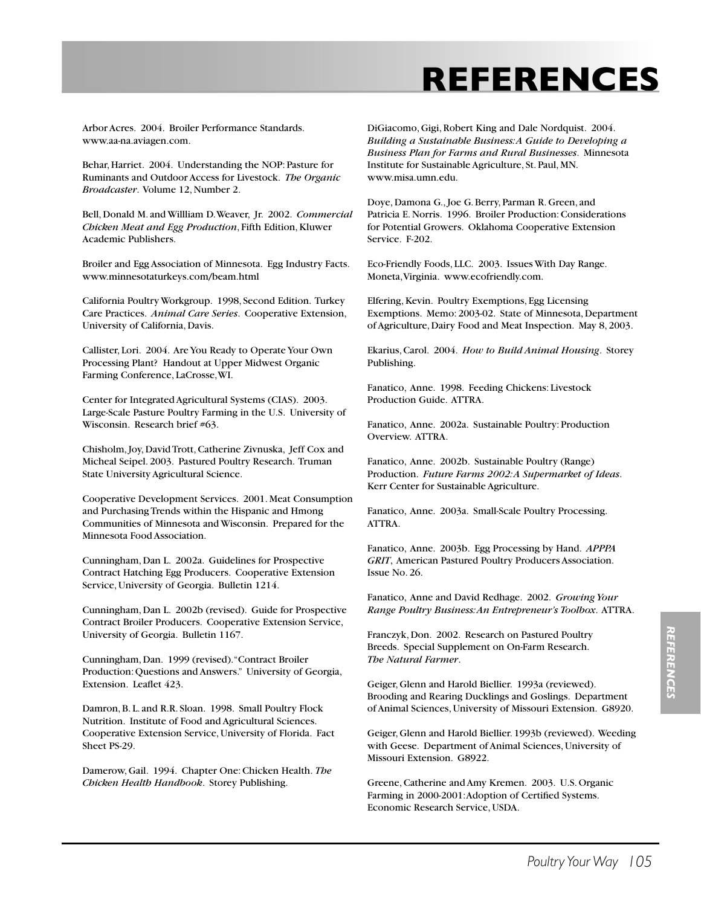# **REFERENCES**

Arbor Acres. 2004. Broiler Performance Standards. www.aa-na.aviagen.com.

Behar, Harriet. 2004. Understanding the NOP: Pasture for Ruminants and Outdoor Access for Livestock. *The Organic Broadcaster*. Volume 12, Number 2.

Bell, Donald M. and Willliam D. Weaver, Jr. 2002. *Commercial Chicken Meat and Egg Production*, Fifth Edition, Kluwer Academic Publishers.

Broiler and Egg Association of Minnesota. Egg Industry Facts. www.minnesotaturkeys.com/beam.html

California Poultry Workgroup. 1998, Second Edition. Turkey Care Practices. *Animal Care Series*. Cooperative Extension, University of California, Davis.

Callister, Lori. 2004. Are You Ready to Operate Your Own Processing Plant? Handout at Upper Midwest Organic Farming Conference, LaCrosse, WI.

Center for Integrated Agricultural Systems (CIAS). 2003. Large-Scale Pasture Poultry Farming in the U.S. University of Wisconsin. Research brief #63.

Chisholm, Joy, David Trott, Catherine Zivnuska, Jeff Cox and Micheal Seipel. 2003. Pastured Poultry Research. Truman State University Agricultural Science.

Cooperative Development Services. 2001. Meat Consumption and Purchasing Trends within the Hispanic and Hmong Communities of Minnesota and Wisconsin. Prepared for the Minnesota Food Association.

Cunningham, Dan L. 2002a. Guidelines for Prospective Contract Hatching Egg Producers. Cooperative Extension Service, University of Georgia. Bulletin 1214.

Cunningham, Dan L. 2002b (revised). Guide for Prospective Contract Broiler Producers. Cooperative Extension Service, University of Georgia. Bulletin 1167.

Cunningham, Dan. 1999 (revised). "Contract Broiler Production: Questions and Answers." University of Georgia, Extension. Leaflet 423.

Damron, B. L. and R.R. Sloan. 1998. Small Poultry Flock Nutrition. Institute of Food and Agricultural Sciences. Cooperative Extension Service, University of Florida. Fact Sheet PS-29.

Damerow, Gail. 1994. Chapter One: Chicken Health. *The Chicken Health Handbook*. Storey Publishing.

DiGiacomo, Gigi, Robert King and Dale Nordquist. 2004. *Building a Sustainable Business: A Guide to Developing a Business Plan for Farms and Rural Businesses*. Minnesota Institute for Sustainable Agriculture, St. Paul, MN. www.misa.umn.edu.

Doye, Damona G., Joe G. Berry, Parman R. Green, and Patricia E. Norris. 1996. Broiler Production: Considerations for Potential Growers. Oklahoma Cooperative Extension Service. F-202.

Eco-Friendly Foods, LLC. 2003. Issues With Day Range. Moneta, Virginia. www.ecofriendly.com.

Elfering, Kevin. Poultry Exemptions, Egg Licensing Exemptions. Memo: 2003-02. State of Minnesota, Department of Agriculture, Dairy Food and Meat Inspection. May 8, 2003.

Ekarius, Carol. 2004. *How to Build Animal Housing*. Storey Publishing.

Fanatico, Anne. 1998. Feeding Chickens: Livestock Production Guide. ATTRA.

Fanatico, Anne. 2002a. Sustainable Poultry: Production Overview. ATTRA.

Fanatico, Anne. 2002b. Sustainable Poultry (Range) Production. *Future Farms 2002: A Supermarket of Ideas*. Kerr Center for Sustainable Agriculture.

Fanatico, Anne. 2003a. Small-Scale Poultry Processing. ATTRA.

Fanatico, Anne. 2003b. Egg Processing by Hand. *APPPA GRIT*, American Pastured Poultry Producers Association. Issue No. 26.

Fanatico, Anne and David Redhage. 2002. *Growing Your Range Poultry Business: An Entrepreneur's Toolbox*. ATTRA.

Franczyk, Don. 2002. Research on Pastured Poultry Breeds. Special Supplement on On-Farm Research. *The Natural Farmer*.

Geiger, Glenn and Harold Biellier. 1993a (reviewed). Brooding and Rearing Ducklings and Goslings. Department of Animal Sciences, University of Missouri Extension. G8920.

Geiger, Glenn and Harold Biellier. 1993b (reviewed). Weeding with Geese. Department of Animal Sciences, University of Missouri Extension. G8922.

Greene, Catherine and Amy Kremen. 2003. U.S. Organic Farming in 2000-2001: Adoption of Certified Systems. Economic Research Service, USDA.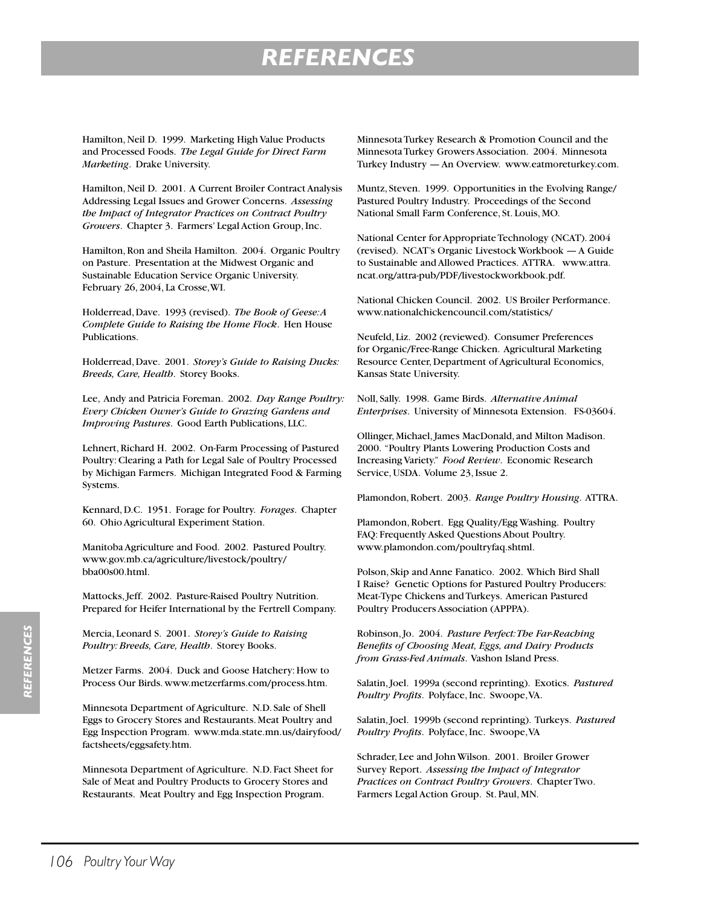## *REFERENCES*

Hamilton, Neil D. 1999. Marketing High Value Products and Processed Foods. *The Legal Guide for Direct Farm Marketing*. Drake University.

Hamilton, Neil D. 2001. A Current Broiler Contract Analysis Addressing Legal Issues and Grower Concerns. *Assessing the Impact of Integrator Practices on Contract Poultry Growers*. Chapter 3. Farmers' Legal Action Group, Inc.

Hamilton, Ron and Sheila Hamilton. 2004. Organic Poultry on Pasture. Presentation at the Midwest Organic and Sustainable Education Service Organic University. February 26, 2004, La Crosse, WI.

Holderread, Dave. 1993 (revised). *The Book of Geese: A Complete Guide to Raising the Home Flock*. Hen House Publications.

Holderread, Dave. 2001. *Storey's Guide to Raising Ducks: Breeds, Care, Health*. Storey Books.

Lee, Andy and Patricia Foreman. 2002. *Day Range Poultry: Every Chicken Owner's Guide to Grazing Gardens and Improving Pastures*. Good Earth Publications, LLC.

Lehnert, Richard H. 2002. On-Farm Processing of Pastured Poultry: Clearing a Path for Legal Sale of Poultry Processed by Michigan Farmers. Michigan Integrated Food & Farming Systems.

Kennard, D.C. 1951. Forage for Poultry. *Forages*. Chapter 60. Ohio Agricultural Experiment Station.

Manitoba Agriculture and Food. 2002. Pastured Poultry. www.gov.mb.ca/agriculture/livestock/poultry/ bba00s00.html.

Mattocks, Jeff. 2002. Pasture-Raised Poultry Nutrition. Prepared for Heifer International by the Fertrell Company.

Mercia, Leonard S. 2001. *Storey's Guide to Raising Poultry: Breeds, Care, Health*. Storey Books.

Metzer Farms. 2004. Duck and Goose Hatchery: How to Process Our Birds. www.metzerfarms.com/process.htm.

Minnesota Department of Agriculture. N.D. Sale of Shell Eggs to Grocery Stores and Restaurants. Meat Poultry and Egg Inspection Program. www.mda.state.mn.us/dairyfood/ factsheets/eggsafety.htm.

Minnesota Department of Agriculture. N.D. Fact Sheet for Sale of Meat and Poultry Products to Grocery Stores and Restaurants. Meat Poultry and Egg Inspection Program.

Minnesota Turkey Research & Promotion Council and the Minnesota Turkey Growers Association. 2004. Minnesota Turkey Industry — An Overview. www.eatmoreturkey.com.

Muntz, Steven. 1999. Opportunities in the Evolving Range/ Pastured Poultry Industry. Proceedings of the Second National Small Farm Conference, St. Louis, MO.

National Center for Appropriate Technology (NCAT). 2004 (revised). NCAT's Organic Livestock Workbook — A Guide to Sustainable and Allowed Practices. ATTRA. www.attra. ncat.org/attra-pub/PDF/livestockworkbook.pdf.

National Chicken Council. 2002. US Broiler Performance. www.nationalchickencouncil.com/statistics/

Neufeld, Liz. 2002 (reviewed). Consumer Preferences for Organic/Free-Range Chicken. Agricultural Marketing Resource Center, Department of Agricultural Economics, Kansas State University.

Noll, Sally. 1998. Game Birds. *Alternative Animal Enterprises*. University of Minnesota Extension. FS-03604.

Ollinger, Michael, James MacDonald, and Milton Madison. 2000. "Poultry Plants Lowering Production Costs and Increasing Variety." *Food Review*. Economic Research Service, USDA. Volume 23, Issue 2.

Plamondon, Robert. 2003. *Range Poultry Housing*. ATTRA.

Plamondon, Robert. Egg Quality/Egg Washing. Poultry FAQ: Frequently Asked Questions About Poultry. www.plamondon.com/poultryfaq.shtml.

Polson, Skip and Anne Fanatico. 2002. Which Bird Shall I Raise? Genetic Options for Pastured Poultry Producers: Meat-Type Chickens and Turkeys. American Pastured Poultry Producers Association (APPPA).

Robinson, Jo. 2004. *Pasture Perfect: The Far-Reaching Benefits of Choosing Meat, Eggs, and Dairy Products from Grass-Fed Animals*. Vashon Island Press.

Salatin, Joel. 1999a (second reprinting). Exotics. *Pastured Poultry Profits*. Polyface, Inc. Swoope, VA.

Salatin, Joel. 1999b (second reprinting). Turkeys. *Pastured Poultry Profits*. Polyface, Inc. Swoope, VA

Schrader, Lee and John Wilson. 2001. Broiler Grower Survey Report. *Assessing the Impact of Integrator Practices on Contract Poultry Growers*. Chapter Two. Farmers Legal Action Group. St. Paul, MN.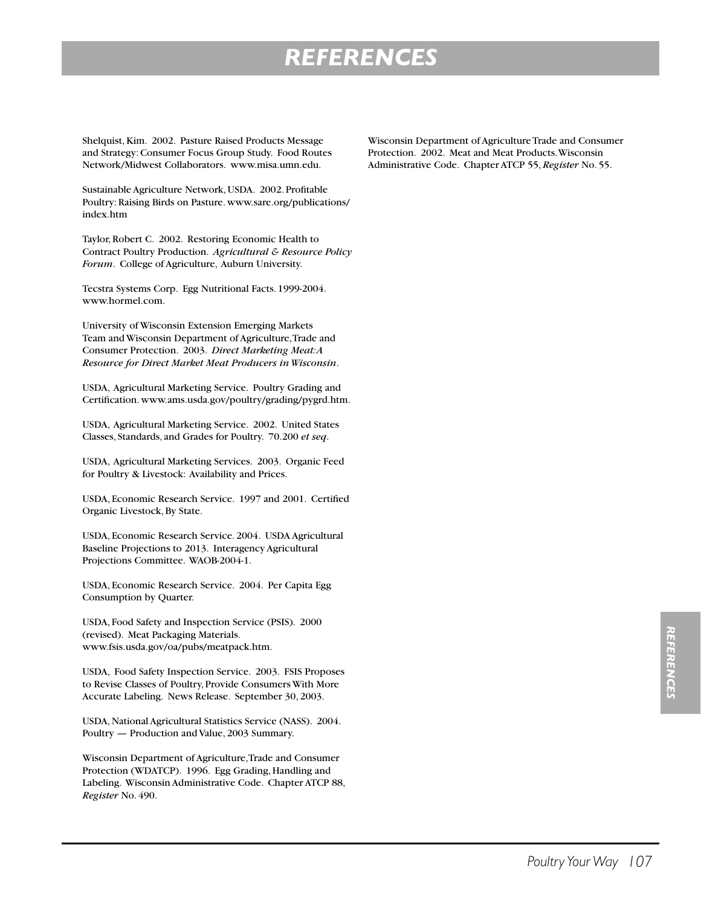## *REFERENCES*

Shelquist, Kim. 2002. Pasture Raised Products Message and Strategy: Consumer Focus Group Study. Food Routes Network/Midwest Collaborators. www.misa.umn.edu.

Sustainable Agriculture Network, USDA. 2002. Profitable Poultry: Raising Birds on Pasture. www.sare.org/publications/ index.htm

Taylor, Robert C. 2002. Restoring Economic Health to Contract Poultry Production. *Agricultural & Resource Policy Forum*. College of Agriculture, Auburn University.

Tecstra Systems Corp. Egg Nutritional Facts. 1999-2004. www.hormel.com.

University of Wisconsin Extension Emerging Markets Team and Wisconsin Department of Agriculture, Trade and Consumer Protection. 2003. *Direct Marketing Meat: A Resource for Direct Market Meat Producers in Wisconsin*.

USDA, Agricultural Marketing Service. Poultry Grading and Certification. www.ams.usda.gov/poultry/grading/pygrd.htm.

USDA, Agricultural Marketing Service. 2002. United States Classes, Standards, and Grades for Poultry. 70.200 *et seq*.

USDA, Agricultural Marketing Services. 2003. Organic Feed for Poultry & Livestock: Availability and Prices.

USDA, Economic Research Service. 1997 and 2001. Certified Organic Livestock, By State.

USDA, Economic Research Service. 2004. USDA Agricultural Baseline Projections to 2013. Interagency Agricultural Projections Committee. WAOB-2004-1.

USDA, Economic Research Service. 2004. Per Capita Egg Consumption by Quarter.

USDA, Food Safety and Inspection Service (PSIS). 2000 (revised). Meat Packaging Materials. www.fsis.usda.gov/oa/pubs/meatpack.htm.

USDA, Food Safety Inspection Service. 2003. FSIS Proposes to Revise Classes of Poultry, Provide Consumers With More Accurate Labeling. News Release. September 30, 2003.

USDA, National Agricultural Statistics Service (NASS). 2004. Poultry — Production and Value, 2003 Summary.

Wisconsin Department of Agriculture, Trade and Consumer Protection (WDATCP). 1996. Egg Grading, Handling and Labeling. Wisconsin Administrative Code. Chapter ATCP 88, *Register* No. 490.

Wisconsin Department of Agriculture Trade and Consumer Protection. 2002. Meat and Meat Products. Wisconsin Administrative Code. Chapter ATCP 55, *Register* No. 55.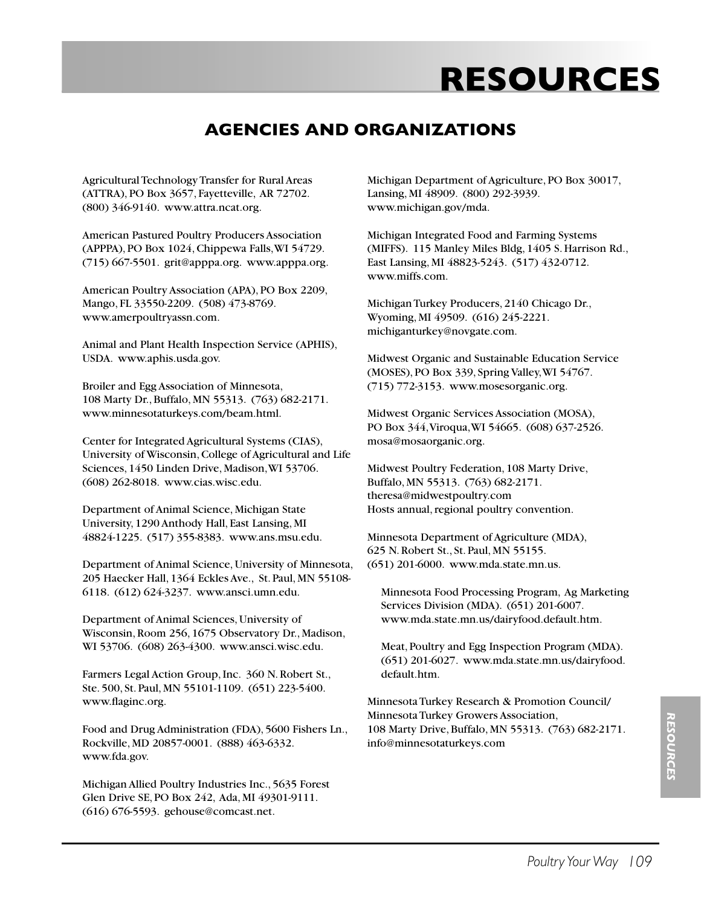### **AGENCIES AND ORGANIZATIONS**

Agricultural Technology Transfer for Rural Areas (ATTRA), PO Box 3657, Fayetteville, AR 72702. (800) 346-9140. www.attra.ncat.org.

American Pastured Poultry Producers Association (APPPA), PO Box 1024, Chippewa Falls, WI 54729. (715) 667-5501. grit@apppa.org. www.apppa.org.

American Poultry Association (APA), PO Box 2209, Mango, FL 33550-2209. (508) 473-8769. www.amerpoultryassn.com.

Animal and Plant Health Inspection Service (APHIS), USDA. www.aphis.usda.gov.

Broiler and Egg Association of Minnesota, 108 Marty Dr., Buffalo, MN 55313. (763) 682-2171. www.minnesotaturkeys.com/beam.html.

Center for Integrated Agricultural Systems (CIAS), University of Wisconsin, College of Agricultural and Life Sciences, 1450 Linden Drive, Madison, WI 53706. (608) 262-8018. www.cias.wisc.edu.

Department of Animal Science, Michigan State University, 1290 Anthody Hall, East Lansing, MI 48824-1225. (517) 355-8383. www.ans.msu.edu.

Department of Animal Science, University of Minnesota, 205 Haecker Hall, 1364 Eckles Ave., St. Paul, MN 55108- 6118. (612) 624-3237. www.ansci.umn.edu.

Department of Animal Sciences, University of Wisconsin, Room 256, 1675 Observatory Dr., Madison, WI 53706. (608) 263-4300. www.ansci.wisc.edu.

Farmers Legal Action Group, Inc. 360 N. Robert St., Ste. 500, St. Paul, MN 55101-1109. (651) 223-5400. www.flaginc.org.

Food and Drug Administration (FDA), 5600 Fishers Ln., Rockville, MD 20857-0001. (888) 463-6332. www.fda.gov.

Michigan Allied Poultry Industries Inc., 5635 Forest Glen Drive SE, PO Box 242, Ada, MI 49301-9111. (616) 676-5593. gehouse@comcast.net.

Michigan Department of Agriculture, PO Box 30017, Lansing, MI 48909. (800) 292-3939. www.michigan.gov/mda.

Michigan Integrated Food and Farming Systems (MIFFS). 115 Manley Miles Bldg, 1405 S. Harrison Rd., East Lansing, MI 48823-5243. (517) 432-0712. www.miffs.com.

Michigan Turkey Producers, 2140 Chicago Dr., Wyoming, MI 49509. (616) 245-2221. michiganturkey@novgate.com.

Midwest Organic and Sustainable Education Service (MOSES), PO Box 339, Spring Valley, WI 54767. (715) 772-3153. www.mosesorganic.org.

Midwest Organic Services Association (MOSA), PO Box 344, Viroqua, WI 54665. (608) 637-2526. mosa@mosaorganic.org.

Midwest Poultry Federation, 108 Marty Drive, Buffalo, MN 55313. (763) 682-2171. theresa@midwestpoultry.com Hosts annual, regional poultry convention.

Minnesota Department of Agriculture (MDA), 625 N. Robert St., St. Paul, MN 55155. (651) 201-6000. www.mda.state.mn.us.

 Minnesota Food Processing Program, Ag Marketing Services Division (MDA). (651) 201-6007. www.mda.state.mn.us/dairyfood.default.htm.

 Meat, Poultry and Egg Inspection Program (MDA). (651) 201-6027. www.mda.state.mn.us/dairyfood. default.htm.

Minnesota Turkey Research & Promotion Council/ Minnesota Turkey Growers Association, 108 Marty Drive, Buffalo, MN 55313. (763) 682-2171. info@minnesotaturkeys.com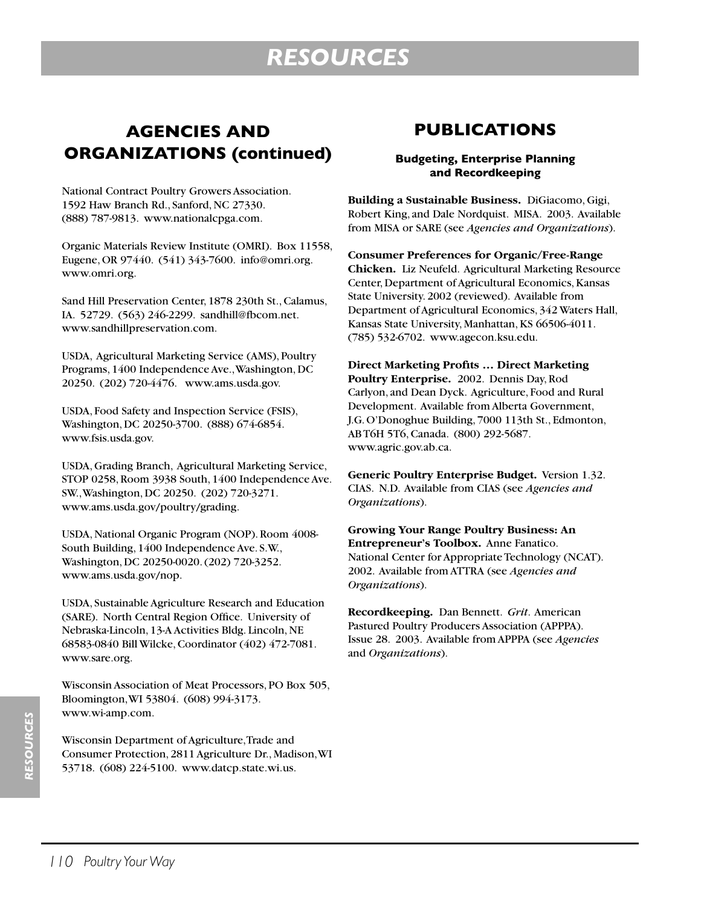### **AGENCIES AND ORGANIZATIONS (continued)**

National Contract Poultry Growers Association. 1592 Haw Branch Rd., Sanford, NC 27330. (888) 787-9813. www.nationalcpga.com.

Organic Materials Review Institute (OMRI). Box 11558, Eugene, OR 97440. (541) 343-7600. info@omri.org. www.omri.org.

Sand Hill Preservation Center, 1878 230th St., Calamus, IA. 52729. (563) 246-2299. sandhill@fbcom.net. www.sandhillpreservation.com.

USDA, Agricultural Marketing Service (AMS), Poultry Programs, 1400 Independence Ave., Washington, DC 20250. (202) 720-4476. www.ams.usda.gov.

USDA, Food Safety and Inspection Service (FSIS), Washington, DC 20250-3700. (888) 674-6854. www.fsis.usda.gov.

USDA, Grading Branch, Agricultural Marketing Service, STOP 0258, Room 3938 South, 1400 Independence Ave. SW., Washington, DC 20250. (202) 720-3271. www.ams.usda.gov/poultry/grading.

USDA, National Organic Program (NOP). Room 4008- South Building, 1400 Independence Ave. S.W., Washington, DC 20250-0020. (202) 720-3252. www.ams.usda.gov/nop.

USDA, Sustainable Agriculture Research and Education (SARE). North Central Region Office. University of Nebraska-Lincoln, 13-A Activities Bldg. Lincoln, NE 68583-0840 Bill Wilcke, Coordinator (402) 472-7081. www.sare.org.

Wisconsin Association of Meat Processors, PO Box 505, Bloomington, WI 53804. (608) 994-3173. www.wi-amp.com.

Wisconsin Department of Agriculture, Trade and Consumer Protection, 2811 Agriculture Dr., Madison, WI 53718. (608) 224-5100. www.datcp.state.wi.us.

### **PUBLICATIONS**

#### **Budgeting, Enterprise Planning and Recordkeeping**

**Building a Sustainable Business.** DiGiacomo, Gigi, Robert King, and Dale Nordquist. MISA. 2003. Available from MISA or SARE (see *Agencies and Organizations*).

**Consumer Preferences for Organic/Free-Range Chicken.** Liz Neufeld. Agricultural Marketing Resource Center, Department of Agricultural Economics, Kansas State University. 2002 (reviewed). Available from Department of Agricultural Economics, 342 Waters Hall, Kansas State University, Manhattan, KS 66506-4011. (785) 532-6702. www.agecon.ksu.edu.

**Direct Marketing Profits … Direct Marketing Poultry Enterprise.** 2002. Dennis Day, Rod Carlyon, and Dean Dyck. Agriculture, Food and Rural Development. Available from Alberta Government, J.G. O'Donoghue Building, 7000 113th St., Edmonton, AB T6H 5T6, Canada. (800) 292-5687. www.agric.gov.ab.ca.

**Generic Poultry Enterprise Budget.** Version 1.32. CIAS. N.D. Available from CIAS (see *Agencies and Organizations*).

**Growing Your Range Poultry Business: An Entrepreneur's Toolbox.** Anne Fanatico. National Center for Appropriate Technology (NCAT). 2002. Available from ATTRA (see *Agencies and Organizations*).

**Recordkeeping.** Dan Bennett. *Grit*. American Pastured Poultry Producers Association (APPPA). Issue 28. 2003. Available from APPPA (see *Agencies* and *Organizations*).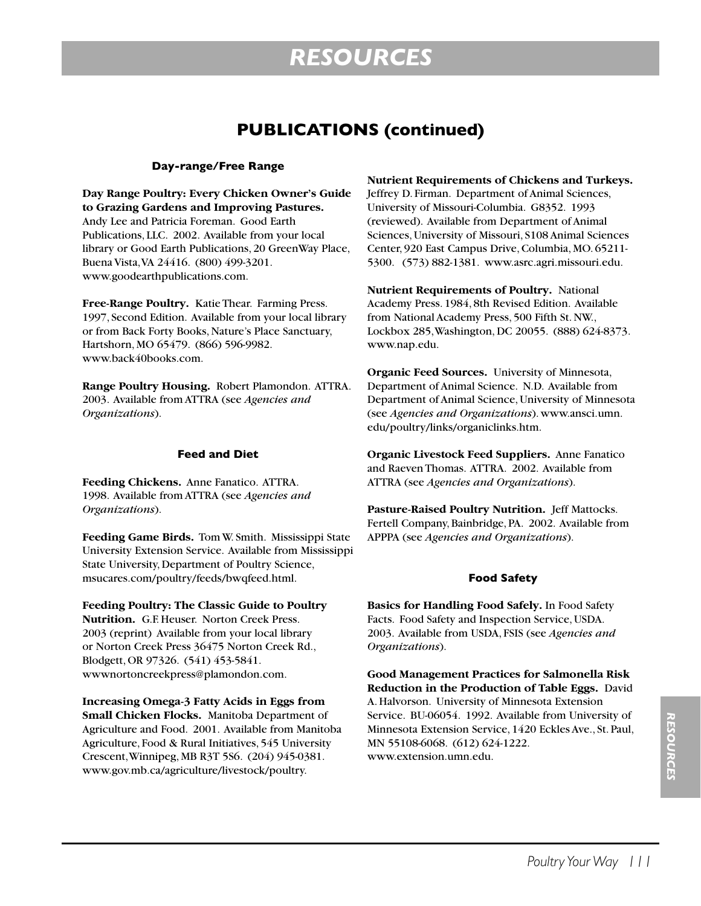### **PUBLICATIONS (continued)**

#### **Day-range/Free Range**

**Day Range Poultry: Every Chicken Owner's Guide to Grazing Gardens and Improving Pastures.**  Andy Lee and Patricia Foreman. Good Earth Publications, LLC. 2002. Available from your local library or Good Earth Publications, 20 GreenWay Place, Buena Vista, VA 24416. (800) 499-3201. www.goodearthpublications.com.

**Free-Range Poultry.** Katie Thear. Farming Press. 1997, Second Edition. Available from your local library or from Back Forty Books, Nature's Place Sanctuary, Hartshorn, MO 65479. (866) 596-9982. www.back40books.com.

**Range Poultry Housing.** Robert Plamondon. ATTRA. 2003. Available from ATTRA (see *Agencies and Organizations*).

#### **Feed and Diet**

**Feeding Chickens.** Anne Fanatico. ATTRA. 1998. Available from ATTRA (see *Agencies and Organizations*).

**Feeding Game Birds.** Tom W. Smith. Mississippi State University Extension Service. Available from Mississippi State University, Department of Poultry Science, msucares.com/poultry/feeds/bwqfeed.html.

**Feeding Poultry: The Classic Guide to Poultry Nutrition.** G.F. Heuser. Norton Creek Press. 2003 (reprint) Available from your local library or Norton Creek Press 36475 Norton Creek Rd., Blodgett, OR 97326. (541) 453-5841. wwwnortoncreekpress@plamondon.com.

**Increasing Omega-3 Fatty Acids in Eggs from Small Chicken Flocks.** Manitoba Department of Agriculture and Food. 2001. Available from Manitoba Agriculture, Food & Rural Initiatives, 545 University Crescent, Winnipeg, MB R3T 5S6. (204) 945-0381. www.gov.mb.ca/agriculture/livestock/poultry.

#### **Nutrient Requirements of Chickens and Turkeys.**

Jeffrey D. Firman. Department of Animal Sciences, University of Missouri-Columbia. G8352. 1993 (reviewed). Available from Department of Animal Sciences, University of Missouri, S108 Animal Sciences Center, 920 East Campus Drive, Columbia, MO. 65211- 5300. (573) 882-1381. www.asrc.agri.missouri.edu.

**Nutrient Requirements of Poultry.** National Academy Press. 1984, 8th Revised Edition. Available from National Academy Press, 500 Fifth St. NW., Lockbox 285, Washington, DC 20055. (888) 624-8373. www.nap.edu.

**Organic Feed Sources.** University of Minnesota, Department of Animal Science. N.D. Available from Department of Animal Science, University of Minnesota (see *Agencies and Organizations*). www.ansci.umn. edu/poultry/links/organiclinks.htm.

**Organic Livestock Feed Suppliers.** Anne Fanatico and Raeven Thomas. ATTRA. 2002. Available from ATTRA (see *Agencies and Organizations*).

**Pasture-Raised Poultry Nutrition.** Jeff Mattocks. Fertell Company, Bainbridge, PA. 2002. Available from APPPA (see *Agencies and Organizations*).

#### **Food Safety**

**Basics for Handling Food Safely.** In Food Safety Facts. Food Safety and Inspection Service, USDA. 2003. Available from USDA, FSIS (see *Agencies and Organizations*).

**Good Management Practices for Salmonella Risk Reduction in the Production of Table Eggs.** David A. Halvorson. University of Minnesota Extension Service. BU-06054. 1992. Available from University of Minnesota Extension Service, 1420 Eckles Ave., St. Paul, MN 55108-6068. (612) 624-1222. www.extension.umn.edu.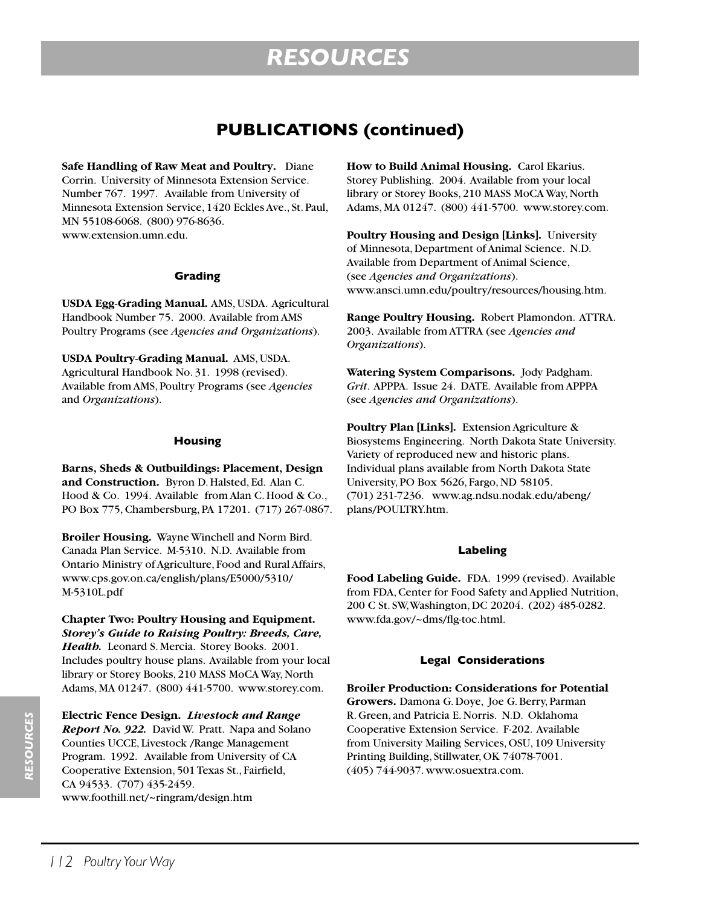### **PUBLICATIONS (continued)**

**Safe Handling of Raw Meat and Poultry.** Diane Corrin. University of Minnesota Extension Service. Number 767. 1997. Available from University of Minnesota Extension Service, 1420 Eckles Ave., St. Paul, MN 55108-6068. (800) 976-8636. www.extension.umn.edu.

#### **Grading**

**USDA Egg-Grading Manual.** AMS, USDA. Agricultural Handbook Number 75. 2000. Available from AMS Poultry Programs (see *Agencies and Organizations*).

**USDA Poultry-Grading Manual.** AMS, USDA. Agricultural Handbook No. 31. 1998 (revised). Available from AMS, Poultry Programs (see *Agencies* and *Organizations*).

#### **Housing**

**Barns, Sheds & Outbuildings: Placement, Design and Construction.** Byron D. Halsted, Ed. Alan C. Hood & Co. 1994. Available from Alan C. Hood & Co., PO Box 775, Chambersburg, PA 17201. (717) 267-0867.

**Broiler Housing.** Wayne Winchell and Norm Bird. Canada Plan Service. M-5310. N.D. Available from Ontario Ministry of Agriculture, Food and Rural Affairs, www.cps.gov.on.ca/english/plans/E5000/5310/ M-5310L.pdf

**Chapter Two: Poultry Housing and Equipment.** *Storey's Guide to Raising Poultry: Breeds, Care, Health.* Leonard S. Mercia. Storey Books. 2001. Includes poultry house plans. Available from your local library or Storey Books, 210 MASS MoCA Way, North Adams, MA 01247. (800) 441-5700. www.storey.com.

**Electric Fence Design.** *Livestock and Range Report No. 922.* David W. Pratt. Napa and Solano Counties UCCE, Livestock /Range Management Program. 1992. Available from University of CA Cooperative Extension, 501 Texas St., Fairfield, CA 94533. (707) 435-2459. www.foothill.net/~ringram/design.htm

**How to Build Animal Housing.** Carol Ekarius. Storey Publishing. 2004. Available from your local library or Storey Books, 210 MASS MoCA Way, North Adams, MA 01247. (800) 441-5700. www.storey.com.

**Poultry Housing and Design [Links].** University of Minnesota, Department of Animal Science. N.D. Available from Department of Animal Science, (see *Agencies and Organizations*). www.ansci.umn.edu/poultry/resources/housing.htm.

**Range Poultry Housing.** Robert Plamondon. ATTRA. 2003. Available from ATTRA (see *Agencies and Organizations*).

**Watering System Comparisons.** Jody Padgham. *Grit*. APPPA. Issue 24. DATE. Available from APPPA (see *Agencies and Organizations*).

**Poultry Plan [Links].** Extension Agriculture & Biosystems Engineering. North Dakota State University. Variety of reproduced new and historic plans. Individual plans available from North Dakota State University, PO Box 5626, Fargo, ND 58105. (701) 231-7236. www.ag.ndsu.nodak.edu/abeng/ plans/POULTRY.htm.

#### **Labeling**

**Food Labeling Guide.** FDA. 1999 (revised). Available from FDA, Center for Food Safety and Applied Nutrition, 200 C St. SW, Washington, DC 20204. (202) 485-0282. www.fda.gov/~dms/flg-toc.html.

#### **Legal Considerations**

**Broiler Production: Considerations for Potential Growers.** Damona G. Doye, Joe G. Berry, Parman R. Green, and Patricia E. Norris. N.D. Oklahoma Cooperative Extension Service. F-202. Available from University Mailing Services, OSU, 109 University Printing Building, Stillwater, OK 74078-7001. (405) 744-9037. www.osuextra.com.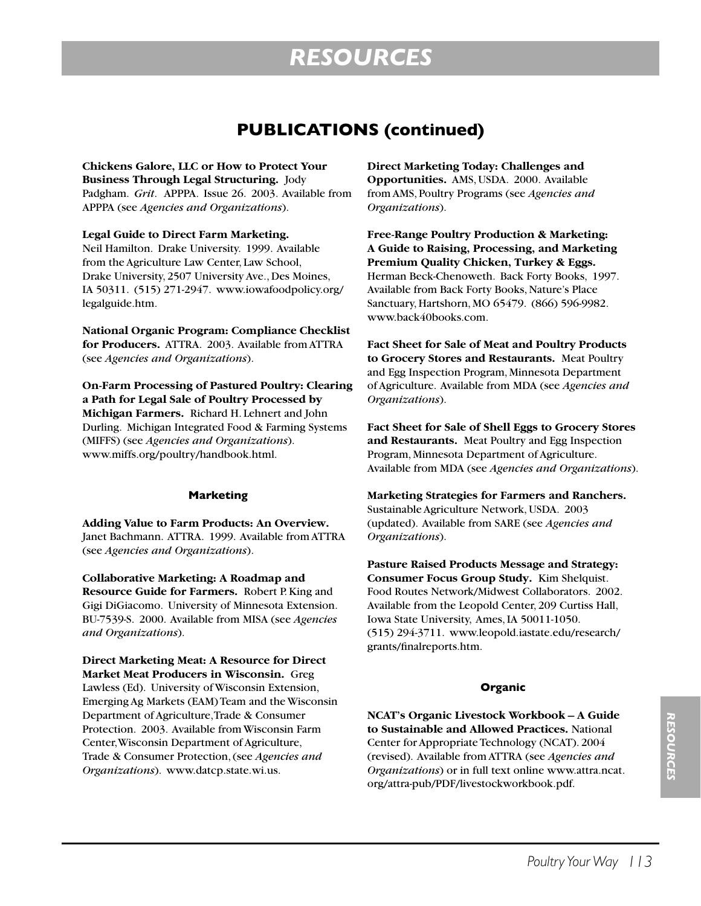### **PUBLICATIONS (continued)**

**Chickens Galore, LLC or How to Protect Your Business Through Legal Structuring.** Jody Padgham. *Grit*. APPPA. Issue 26. 2003. Available from APPPA (see *Agencies and Organizations*).

**Legal Guide to Direct Farm Marketing.** Neil Hamilton. Drake University. 1999. Available from the Agriculture Law Center, Law School, Drake University, 2507 University Ave., Des Moines, IA 50311. (515) 271-2947. www.iowafoodpolicy.org/ legalguide.htm.

**National Organic Program: Compliance Checklist for Producers.** ATTRA. 2003. Available from ATTRA (see *Agencies and Organizations*).

**On-Farm Processing of Pastured Poultry: Clearing a Path for Legal Sale of Poultry Processed by Michigan Farmers.** Richard H. Lehnert and John Durling. Michigan Integrated Food & Farming Systems (MIFFS) (see *Agencies and Organizations*). www.miffs.org/poultry/handbook.html.

#### **Marketing**

**Adding Value to Farm Products: An Overview.**  Janet Bachmann. ATTRA. 1999. Available from ATTRA (see *Agencies and Organizations*).

**Collaborative Marketing: A Roadmap and Resource Guide for Farmers.** Robert P. King and Gigi DiGiacomo. University of Minnesota Extension. BU-7539-S. 2000. Available from MISA (see *Agencies and Organizations*).

**Direct Marketing Meat: A Resource for Direct Market Meat Producers in Wisconsin.** Greg Lawless (Ed). University of Wisconsin Extension, Emerging Ag Markets (EAM) Team and the Wisconsin Department of Agriculture, Trade & Consumer Protection. 2003. Available from Wisconsin Farm Center, Wisconsin Department of Agriculture, Trade & Consumer Protection, (see *Agencies and Organizations*). www.datcp.state.wi.us.

**Direct Marketing Today: Challenges and Opportunities.** AMS, USDA. 2000. Available from AMS, Poultry Programs (see *Agencies and Organizations*).

**Free-Range Poultry Production & Marketing: A Guide to Raising, Processing, and Marketing Premium Quality Chicken, Turkey & Eggs.**  Herman Beck-Chenoweth. Back Forty Books, 1997. Available from Back Forty Books, Nature's Place Sanctuary, Hartshorn, MO 65479. (866) 596-9982. www.back40books.com.

**Fact Sheet for Sale of Meat and Poultry Products to Grocery Stores and Restaurants.** Meat Poultry and Egg Inspection Program, Minnesota Department of Agriculture. Available from MDA (see *Agencies and Organizations*).

**Fact Sheet for Sale of Shell Eggs to Grocery Stores and Restaurants.** Meat Poultry and Egg Inspection Program, Minnesota Department of Agriculture. Available from MDA (see *Agencies and Organizations*).

**Marketing Strategies for Farmers and Ranchers.**  Sustainable Agriculture Network, USDA. 2003 (updated). Available from SARE (see *Agencies and Organizations*).

**Pasture Raised Products Message and Strategy: Consumer Focus Group Study.** Kim Shelquist. Food Routes Network/Midwest Collaborators. 2002. Available from the Leopold Center, 209 Curtiss Hall, Iowa State University, Ames, IA 50011-1050. (515) 294-3711. www.leopold.iastate.edu/research/ grants/finalreports.htm.

#### **Organic**

**NCAT's Organic Livestock Workbook – A Guide to Sustainable and Allowed Practices.** National Center for Appropriate Technology (NCAT). 2004 (revised). Available from ATTRA (see *Agencies and Organizations*) or in full text online www.attra.ncat. org/attra-pub/PDF/livestockworkbook.pdf.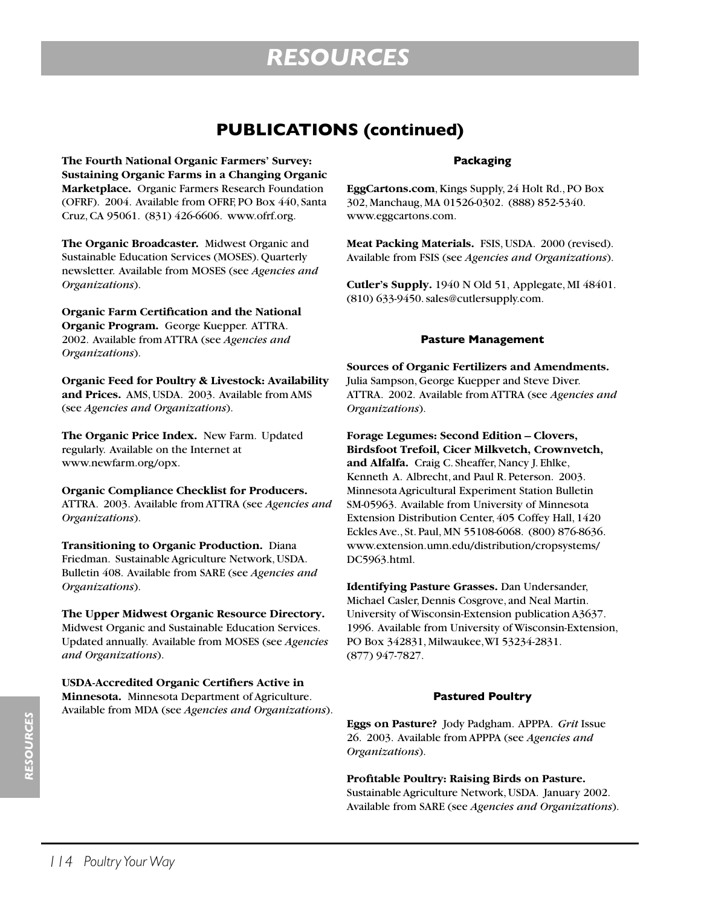### **PUBLICATIONS (continued)**

**The Fourth National Organic Farmers' Survey: Sustaining Organic Farms in a Changing Organic Marketplace.** Organic Farmers Research Foundation (OFRF). 2004. Available from OFRF, PO Box 440, Santa Cruz, CA 95061. (831) 426-6606. www.ofrf.org.

**The Organic Broadcaster.** Midwest Organic and Sustainable Education Services (MOSES). Quarterly newsletter. Available from MOSES (see *Agencies and Organizations*).

**Organic Farm Certification and the National Organic Program.** George Kuepper. ATTRA. 2002. Available from ATTRA (see *Agencies and Organizations*).

**Organic Feed for Poultry & Livestock: Availability and Prices.** AMS, USDA. 2003. Available from AMS (see *Agencies and Organizations*).

**The Organic Price Index.** New Farm. Updated regularly. Available on the Internet at www.newfarm.org/opx.

**Organic Compliance Checklist for Producers.** ATTRA. 2003. Available from ATTRA (see *Agencies and Organizations*).

**Transitioning to Organic Production.** Diana Friedman. Sustainable Agriculture Network, USDA. Bulletin 408. Available from SARE (see *Agencies and Organizations*).

**The Upper Midwest Organic Resource Directory.** Midwest Organic and Sustainable Education Services. Updated annually. Available from MOSES (see *Agencies and Organizations*).

**USDA-Accredited Organic Certifiers Active in Minnesota.** Minnesota Department of Agriculture. Available from MDA (see *Agencies and Organizations*).

#### **Packaging**

**EggCartons.com**, Kings Supply, 24 Holt Rd., PO Box 302, Manchaug, MA 01526-0302. (888) 852-5340. www.eggcartons.com.

**Meat Packing Materials.** FSIS, USDA. 2000 (revised). Available from FSIS (see *Agencies and Organizations*).

**Cutler's Supply.** 1940 N Old 51, Applegate, MI 48401. (810) 633-9450. sales@cutlersupply.com.

#### **Pasture Management**

**Sources of Organic Fertilizers and Amendments.** Julia Sampson, George Kuepper and Steve Diver. ATTRA. 2002. Available from ATTRA (see *Agencies and Organizations*).

**Forage Legumes: Second Edition – Clovers, Birdsfoot Trefoil, Cicer Milkvetch, Crownvetch, and Alfalfa.** Craig C. Sheaffer, Nancy J. Ehlke, Kenneth A. Albrecht, and Paul R. Peterson. 2003. Minnesota Agricultural Experiment Station Bulletin SM-05963. Available from University of Minnesota Extension Distribution Center, 405 Coffey Hall, 1420 Eckles Ave., St. Paul, MN 55108-6068. (800) 876-8636. www.extension.umn.edu/distribution/cropsystems/ DC5963.html.

**Identifying Pasture Grasses.** Dan Undersander, Michael Casler, Dennis Cosgrove, and Neal Martin. University of Wisconsin-Extension publication A3637. 1996. Available from University of Wisconsin-Extension, PO Box 342831, Milwaukee, WI 53234-2831. (877) 947-7827.

#### **Pastured Poultry**

**Eggs on Pasture?** Jody Padgham. APPPA. *Grit* Issue 26. 2003. Available from APPPA (see *Agencies and Organizations*).

**Profitable Poultry: Raising Birds on Pasture.** Sustainable Agriculture Network, USDA. January 2002. Available from SARE (see *Agencies and Organizations*).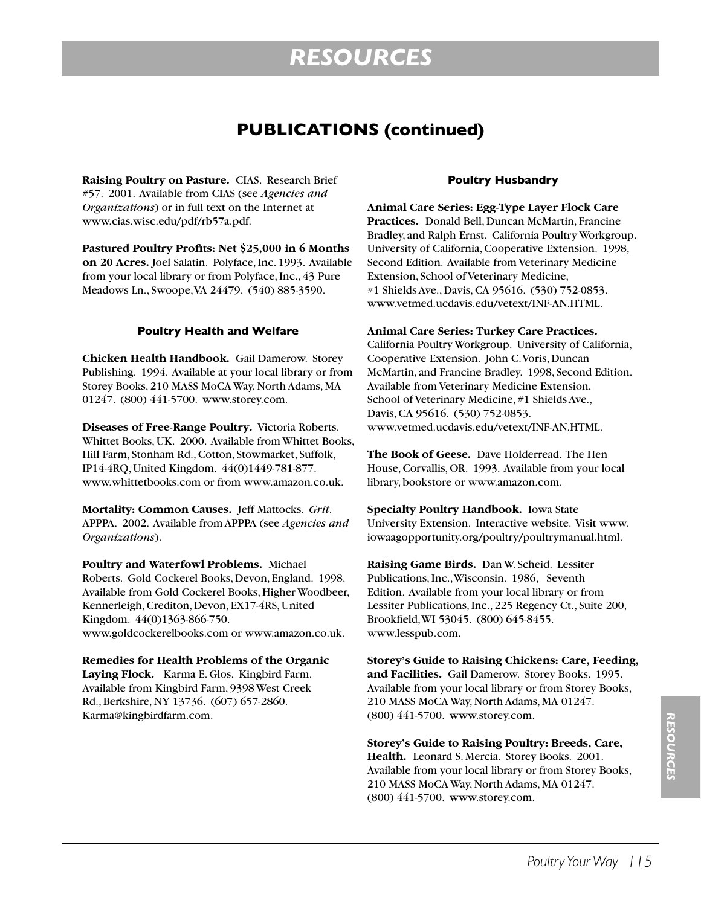### **PUBLICATIONS (continued)**

**Raising Poultry on Pasture.** CIAS. Research Brief #57. 2001. Available from CIAS (see *Agencies and Organizations*) or in full text on the Internet at www.cias.wisc.edu/pdf/rb57a.pdf.

**Pastured Poultry Profits: Net \$25,000 in 6 Months on 20 Acres.** Joel Salatin. Polyface, Inc. 1993. Available from your local library or from Polyface, Inc., 43 Pure Meadows Ln., Swoope, VA 24479. (540) 885-3590.

#### **Poultry Health and Welfare**

**Chicken Health Handbook.** Gail Damerow. Storey Publishing. 1994. Available at your local library or from Storey Books, 210 MASS MoCA Way, North Adams, MA 01247. (800) 441-5700. www.storey.com.

**Diseases of Free-Range Poultry.** Victoria Roberts. Whittet Books, UK. 2000. Available from Whittet Books, Hill Farm, Stonham Rd., Cotton, Stowmarket, Suffolk, IP14-4RQ, United Kingdom. 44(0)1449-781-877. www.whittetbooks.com or from www.amazon.co.uk.

**Mortality: Common Causes.** Jeff Mattocks. *Grit*. APPPA. 2002. Available from APPPA (see *Agencies and Organizations*).

**Poultry and Waterfowl Problems.** Michael Roberts. Gold Cockerel Books, Devon, England. 1998. Available from Gold Cockerel Books, Higher Woodbeer, Kennerleigh, Crediton, Devon, EX17-4RS, United Kingdom. 44(0)1363-866-750. www.goldcockerelbooks.com or www.amazon.co.uk.

**Remedies for Health Problems of the Organic Laying Flock.** Karma E. Glos. Kingbird Farm. Available from Kingbird Farm, 9398 West Creek Rd., Berkshire, NY 13736. (607) 657-2860. Karma@kingbirdfarm.com.

#### **Poultry Husbandry**

**Animal Care Series: Egg-Type Layer Flock Care Practices.** Donald Bell, Duncan McMartin, Francine Bradley, and Ralph Ernst. California Poultry Workgroup. University of California, Cooperative Extension. 1998, Second Edition. Available from Veterinary Medicine Extension, School of Veterinary Medicine, #1 Shields Ave., Davis, CA 95616. (530) 752-0853. www.vetmed.ucdavis.edu/vetext/INF-AN.HTML.

#### **Animal Care Series: Turkey Care Practices.**

California Poultry Workgroup. University of California, Cooperative Extension. John C. Voris, Duncan McMartin, and Francine Bradley. 1998, Second Edition. Available from Veterinary Medicine Extension, School of Veterinary Medicine, #1 Shields Ave., Davis, CA 95616. (530) 752-0853. www.vetmed.ucdavis.edu/vetext/INF-AN.HTML.

**The Book of Geese.** Dave Holderread. The Hen House, Corvallis, OR. 1993. Available from your local library, bookstore or www.amazon.com.

**Specialty Poultry Handbook.** Iowa State University Extension. Interactive website. Visit www. iowaagopportunity.org/poultry/poultrymanual.html.

**Raising Game Birds.** Dan W. Scheid. Lessiter Publications, Inc., Wisconsin. 1986, Seventh Edition. Available from your local library or from Lessiter Publications, Inc., 225 Regency Ct., Suite 200, Brookfield, WI 53045. (800) 645-8455. www.lesspub.com.

**Storey's Guide to Raising Chickens: Care, Feeding, and Facilities.** Gail Damerow. Storey Books. 1995. Available from your local library or from Storey Books, 210 MASS MoCA Way, North Adams, MA 01247. (800) 441-5700. www.storey.com.

**Storey's Guide to Raising Poultry: Breeds, Care, Health.**Leonard S. Mercia. Storey Books. 2001. Available from your local library or from Storey Books, 210 MASS MoCA Way, North Adams, MA 01247. (800) 441-5700. www.storey.com.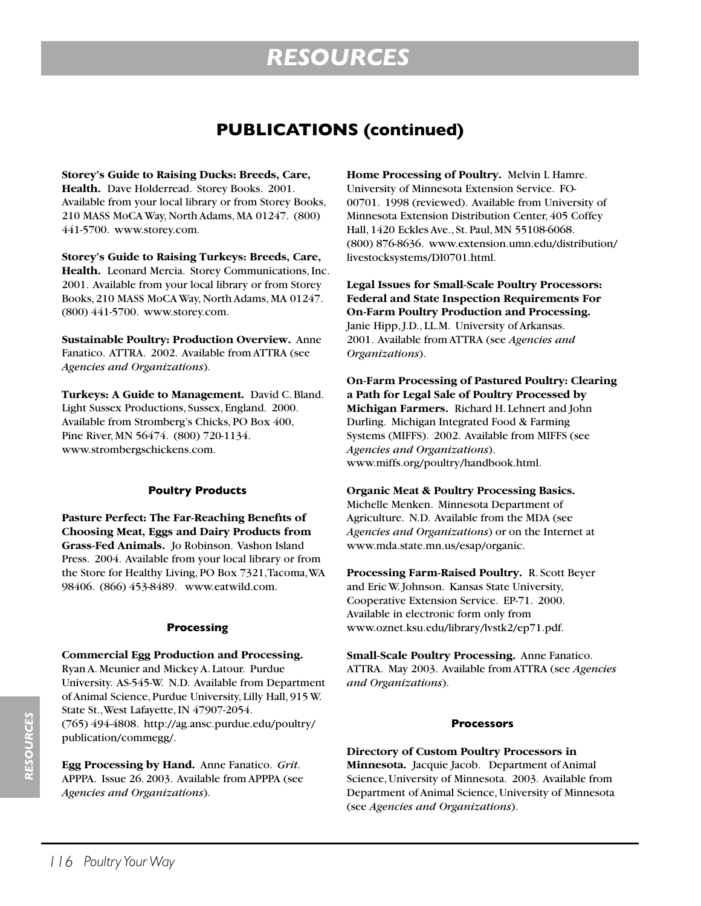### **PUBLICATIONS (continued)**

**Storey's Guide to Raising Ducks: Breeds, Care,**  Health. Dave Holderread. Storey Books. 2001. Available from your local library or from Storey Books, 210 MASS MoCA Way, North Adams, MA 01247. (800) 441-5700. www.storey.com.

**Storey's Guide to Raising Turkeys: Breeds, Care, Health.**Leonard Mercia. Storey Communications, Inc. 2001. Available from your local library or from Storey Books, 210 MASS MoCA Way, North Adams, MA 01247. (800) 441-5700. www.storey.com.

**Sustainable Poultry: Production Overview.** Anne Fanatico. ATTRA. 2002. Available from ATTRA (see *Agencies and Organizations*).

**Turkeys: A Guide to Management.** David C. Bland. Light Sussex Productions, Sussex, England. 2000. Available from Stromberg's Chicks, PO Box 400, Pine River, MN 56474. (800) 720-1134. www.strombergschickens.com.

#### **Poultry Products**

**Pasture Perfect: The Far-Reaching Benefits of Choosing Meat, Eggs and Dairy Products from Grass-Fed Animals.** Jo Robinson. Vashon Island Press. 2004. Available from your local library or from the Store for Healthy Living, PO Box 7321, Tacoma, WA 98406. (866) 453-8489. www.eatwild.com.

#### **Processing**

#### **Commercial Egg Production and Processing.**

Ryan A. Meunier and Mickey A. Latour. Purdue University. AS-545-W. N.D. Available from Department of Animal Science, Purdue University, Lilly Hall, 915 W. State St., West Lafayette, IN 47907-2054. (765) 494-4808. http://ag.ansc.purdue.edu/poultry/ publication/commegg/.

**Egg Processing by Hand.** Anne Fanatico. *Grit*. APPPA. Issue 26. 2003. Available from APPPA (see *Agencies and Organizations*).

**Home Processing of Poultry.** Melvin L Hamre. University of Minnesota Extension Service. FO-00701. 1998 (reviewed). Available from University of Minnesota Extension Distribution Center, 405 Coffey Hall, 1420 Eckles Ave., St. Paul, MN 55108-6068. (800) 876-8636. www.extension.umn.edu/distribution/ livestocksystems/DI0701.html.

**Legal Issues for Small-Scale Poultry Processors: Federal and State Inspection Requirements For On-Farm Poultry Production and Processing.** Janie Hipp, J.D., LL.M. University of Arkansas. 2001. Available from ATTRA (see *Agencies and Organizations*).

**On-Farm Processing of Pastured Poultry: Clearing a Path for Legal Sale of Poultry Processed by Michigan Farmers.** Richard H. Lehnert and John Durling. Michigan Integrated Food & Farming Systems (MIFFS). 2002. Available from MIFFS (see *Agencies and Organizations*). www.miffs.org/poultry/handbook.html.

**Organic Meat & Poultry Processing Basics.** Michelle Menken. Minnesota Department of Agriculture. N.D. Available from the MDA (see *Agencies and Organizations*) or on the Internet at www.mda.state.mn.us/esap/organic.

**Processing Farm-Raised Poultry.** R. Scott Beyer and Eric W. Johnson. Kansas State University, Cooperative Extension Service. EP-71. 2000. Available in electronic form only from www.oznet.ksu.edu/library/lvstk2/ep71.pdf.

**Small-Scale Poultry Processing.** Anne Fanatico. ATTRA. May 2003. Available from ATTRA (see *Agencies and Organizations*).

#### **Processors**

**Directory of Custom Poultry Processors in Minnesota.** Jacquie Jacob. Department of Animal Science, University of Minnesota. 2003. Available from Department of Animal Science, University of Minnesota (see *Agencies and Organizations*).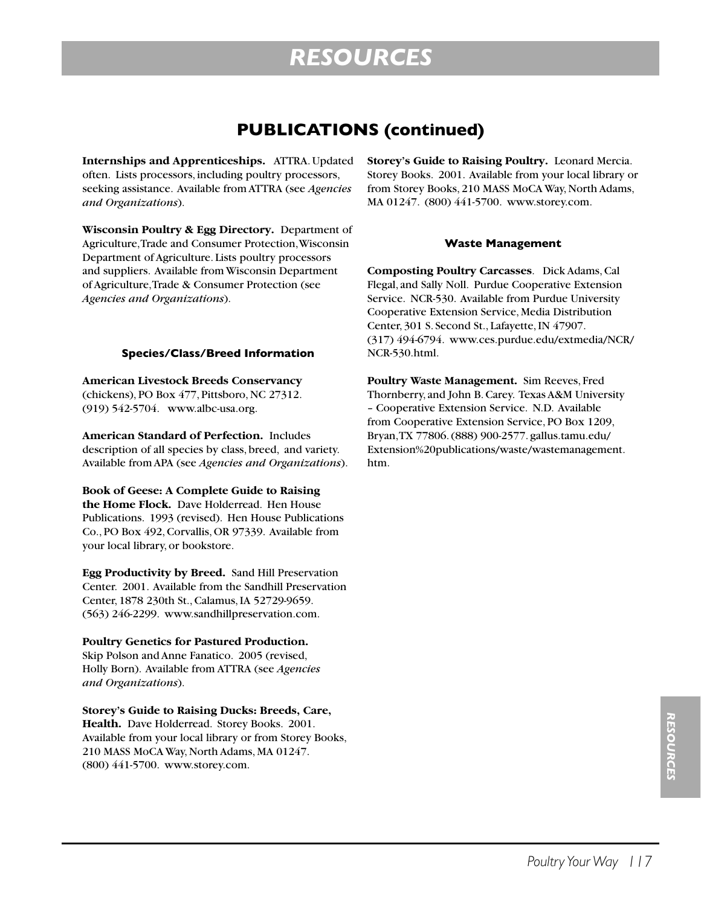### **PUBLICATIONS (continued)**

**Internships and Apprenticeships.** ATTRA. Updated often. Lists processors, including poultry processors, seeking assistance. Available from ATTRA (see *Agencies and Organizations*).

**Wisconsin Poultry & Egg Directory.** Department of Agriculture, Trade and Consumer Protection, Wisconsin Department of Agriculture. Lists poultry processors and suppliers. Available from Wisconsin Department of Agriculture, Trade & Consumer Protection (see *Agencies and Organizations*).

#### **Species/Class/Breed Information**

**American Livestock Breeds Conservancy** (chickens), PO Box 477, Pittsboro, NC 27312. (919) 542-5704. www.albc-usa.org.

**American Standard of Perfection.** Includes description of all species by class, breed, and variety. Available from APA (see *Agencies and Organizations*).

**Book of Geese: A Complete Guide to Raising the Home Flock.** Dave Holderread. Hen House Publications. 1993 (revised). Hen House Publications Co., PO Box 492, Corvallis, OR 97339. Available from your local library, or bookstore.

**Egg Productivity by Breed.** Sand Hill Preservation Center. 2001. Available from the Sandhill Preservation Center, 1878 230th St., Calamus, IA 52729-9659. (563) 246-2299. www.sandhillpreservation.com.

#### **Poultry Genetics for Pastured Production.**

Skip Polson and Anne Fanatico. 2005 (revised, Holly Born). Available from ATTRA (see *Agencies and Organizations*).

**Storey's Guide to Raising Ducks: Breeds, Care, Health.** Dave Holderread. Storey Books. 2001. Available from your local library or from Storey Books, 210 MASS MoCA Way, North Adams, MA 01247. (800) 441-5700. www.storey.com.

**Storey's Guide to Raising Poultry.** Leonard Mercia. Storey Books. 2001. Available from your local library or from Storey Books, 210 MASS MoCA Way, North Adams, MA 01247. (800) 441-5700. www.storey.com.

#### **Waste Management**

**Composting Poultry Carcasses**. Dick Adams, Cal Flegal, and Sally Noll. Purdue Cooperative Extension Service. NCR-530. Available from Purdue University Cooperative Extension Service, Media Distribution Center, 301 S. Second St., Lafayette, IN 47907. (317) 494-6794. www.ces.purdue.edu/extmedia/NCR/ NCR-530.html.

**Poultry Waste Management.** Sim Reeves, Fred Thornberry, and John B. Carey. Texas A&M University – Cooperative Extension Service. N.D. Available from Cooperative Extension Service, PO Box 1209, Bryan, TX 77806. (888) 900-2577. gallus.tamu.edu/ Extension%20publications/waste/wastemanagement. htm.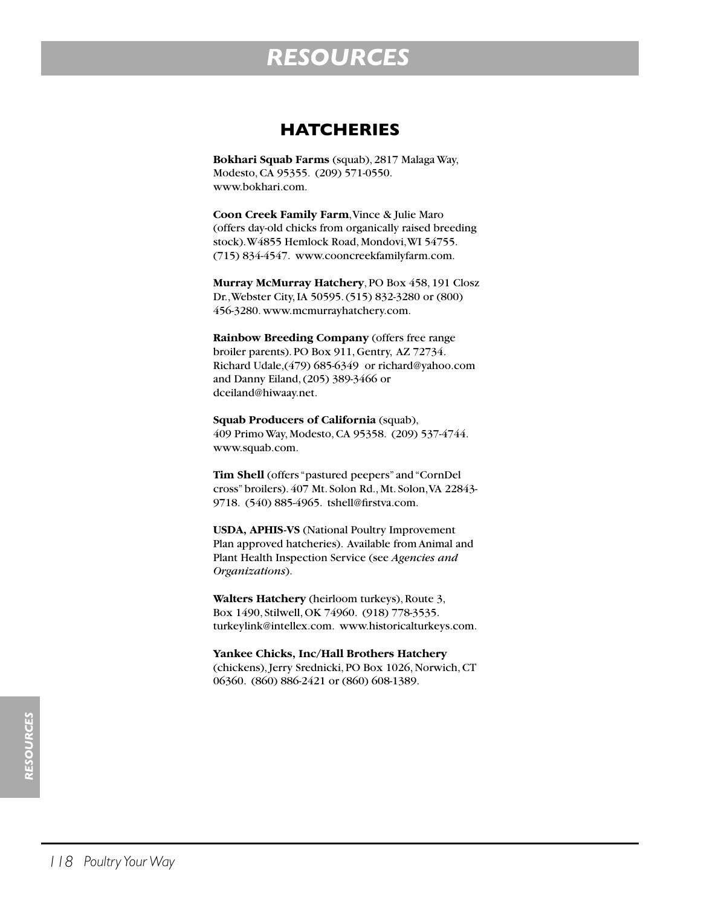### **HATCHERIES**

**Bokhari Squab Farms** (squab), 2817 Malaga Way, Modesto, CA 95355. (209) 571-0550. www.bokhari.com.

**Coon Creek Family Farm**, Vince & Julie Maro (offers day-old chicks from organically raised breeding stock). W4855 Hemlock Road, Mondovi, WI 54755. (715) 834-4547. www.cooncreekfamilyfarm.com.

**Murray McMurray Hatchery**, PO Box 458, 191 Closz Dr., Webster City, IA 50595. (515) 832-3280 or (800) 456-3280. www.mcmurrayhatchery.com.

**Rainbow Breeding Company** (offers free range broiler parents). PO Box 911, Gentry, AZ 72734. Richard Udale,(479) 685-6349 or richard@yahoo.com and Danny Eiland, (205) 389-3466 or dceiland@hiwaay.net.

**Squab Producers of California** (squab), 409 Primo Way, Modesto, CA 95358. (209) 537-4744. www.squab.com.

**Tim Shell** (offers "pastured peepers" and "CornDel cross" broilers). 407 Mt. Solon Rd., Mt. Solon, VA 22843- 9718. (540) 885-4965. tshell@firstva.com.

**USDA, APHIS-VS** (National Poultry Improvement Plan approved hatcheries). Available from Animal and Plant Health Inspection Service (see *Agencies and Organizations*).

**Walters Hatchery** (heirloom turkeys), Route 3, Box 1490, Stilwell, OK 74960. (918) 778-3535. turkeylink@intellex.com. www.historicalturkeys.com.

**Yankee Chicks, Inc/Hall Brothers Hatchery** (chickens), Jerry Srednicki, PO Box 1026, Norwich, CT 06360. (860) 886-2421 or (860) 608-1389.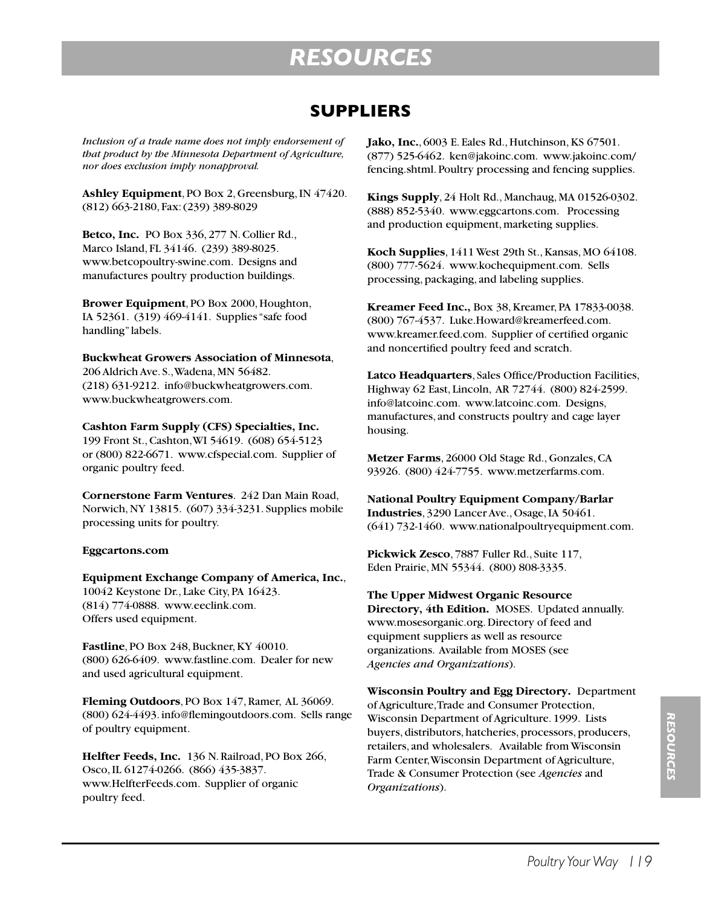### **SUPPLIERS**

*Inclusion of a trade name does not imply endorsement of that product by the Minnesota Department of Agriculture, nor does exclusion imply nonapproval.*

**Ashley Equipment**, PO Box 2, Greensburg, IN 47420. (812) 663-2180, Fax: (239) 389-8029

**Betco, Inc.** PO Box 336, 277 N. Collier Rd., Marco Island, FL 34146. (239) 389-8025. www.betcopoultry-swine.com. Designs and manufactures poultry production buildings.

**Brower Equipment**, PO Box 2000, Houghton, IA 52361. (319) 469-4141. Supplies "safe food handling" labels.

**Buckwheat Growers Association of Minnesota**, 206 Aldrich Ave. S., Wadena, MN 56482. (218) 631-9212. info@buckwheatgrowers.com. www.buckwheatgrowers.com.

**Cashton Farm Supply (CFS) Specialties, Inc.** 199 Front St., Cashton, WI 54619. (608) 654-5123 or (800) 822-6671. www.cfspecial.com. Supplier of organic poultry feed.

**Cornerstone Farm Ventures**. 242 Dan Main Road, Norwich, NY 13815. (607) 334-3231. Supplies mobile processing units for poultry.

#### **Eggcartons.com**

**Equipment Exchange Company of America, Inc.**, 10042 Keystone Dr., Lake City, PA 16423. (814) 774-0888. www.eeclink.com. Offers used equipment.

**Fastline**, PO Box 248, Buckner, KY 40010. (800) 626-6409. www.fastline.com. Dealer for new and used agricultural equipment.

**Fleming Outdoors**, PO Box 147, Ramer, AL 36069. (800) 624-4493. info@flemingoutdoors.com. Sells range of poultry equipment.

**Helfter Feeds, Inc.** 136 N. Railroad, PO Box 266, Osco, IL 61274-0266. (866) 435-3837. www.HelfterFeeds.com. Supplier of organic poultry feed.

**Jako, Inc.**, 6003 E. Eales Rd., Hutchinson, KS 67501. (877) 525-6462. ken@jakoinc.com. www.jakoinc.com/ fencing.shtml. Poultry processing and fencing supplies.

**Kings Supply**, 24 Holt Rd., Manchaug, MA 01526-0302. (888) 852-5340. www.eggcartons.com. Processing and production equipment, marketing supplies.

**Koch Supplies**, 1411 West 29th St., Kansas, MO 64108. (800) 777-5624. www.kochequipment.com. Sells processing, packaging, and labeling supplies.

**Kreamer Feed Inc.,** Box 38, Kreamer, PA 17833-0038. (800) 767-4537. Luke.Howard@kreamerfeed.com. www.kreamer.feed.com. Supplier of certified organic and noncertified poultry feed and scratch.

**Latco Headquarters**, Sales Office/Production Facilities, Highway 62 East, Lincoln, AR 72744. (800) 824-2599. info@latcoinc.com. www.latcoinc.com. Designs, manufactures, and constructs poultry and cage layer housing.

**Metzer Farms**, 26000 Old Stage Rd., Gonzales, CA 93926. (800) 424-7755. www.metzerfarms.com.

**National Poultry Equipment Company/Barlar Industries**, 3290 Lancer Ave., Osage, IA 50461. (641) 732-1460. www.nationalpoultryequipment.com.

**Pickwick Zesco**, 7887 Fuller Rd., Suite 117, Eden Prairie, MN 55344. (800) 808-3335.

**The Upper Midwest Organic Resource Directory, 4th Edition.** MOSES. Updated annually. www.mosesorganic.org. Directory of feed and equipment suppliers as well as resource organizations. Available from MOSES (see *Agencies and Organizations*).

**Wisconsin Poultry and Egg Directory.** Department of Agriculture, Trade and Consumer Protection, Wisconsin Department of Agriculture. 1999. Lists buyers, distributors, hatcheries, processors, producers, retailers, and wholesalers. Available from Wisconsin Farm Center, Wisconsin Department of Agriculture, Trade & Consumer Protection (see *Agencies* and *Organizations*).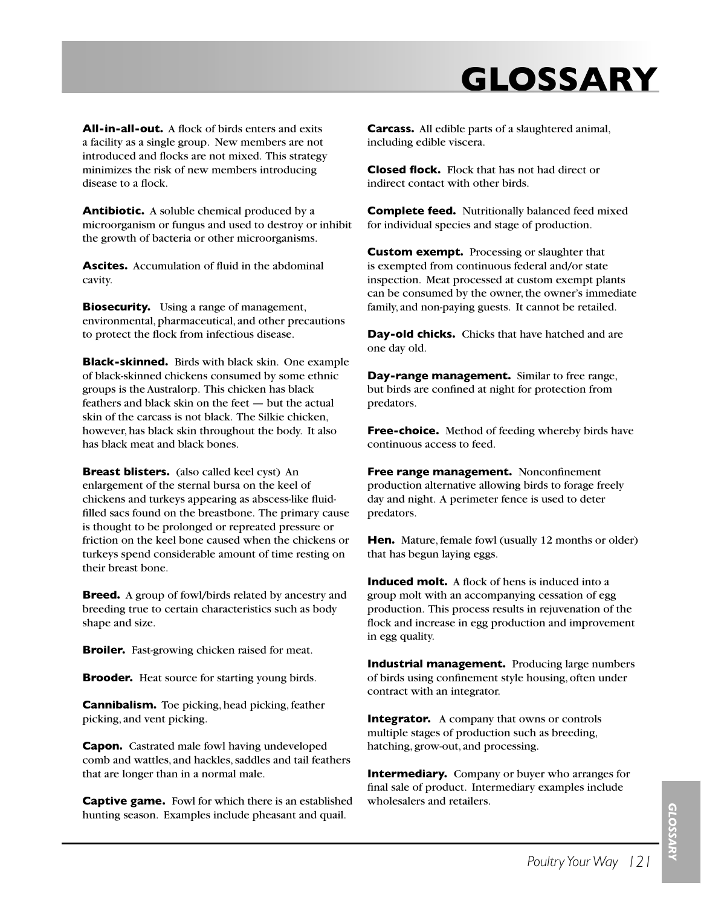# **GLOSSARY**

**All-in-all-out.** A flock of birds enters and exits a facility as a single group. New members are not introduced and flocks are not mixed. This strategy minimizes the risk of new members introducing disease to a flock.

**Antibiotic.** A soluble chemical produced by a microorganism or fungus and used to destroy or inhibit the growth of bacteria or other microorganisms.

**Ascites.** Accumulation of fluid in the abdominal cavity.

**Biosecurity.** Using a range of management, environmental, pharmaceutical, and other precautions to protect the flock from infectious disease.

**Black-skinned.** Birds with black skin. One example of black-skinned chickens consumed by some ethnic groups is the Australorp. This chicken has black feathers and black skin on the feet — but the actual skin of the carcass is not black. The Silkie chicken, however, has black skin throughout the body. It also has black meat and black bones.

**Breast blisters.** (also called keel cyst) An enlargement of the sternal bursa on the keel of chickens and turkeys appearing as abscess-like fluidfilled sacs found on the breastbone. The primary cause is thought to be prolonged or repreated pressure or friction on the keel bone caused when the chickens or turkeys spend considerable amount of time resting on their breast bone.

**Breed.** A group of fowl/birds related by ancestry and breeding true to certain characteristics such as body shape and size.

**Broiler.** Fast-growing chicken raised for meat.

**Brooder.** Heat source for starting young birds.

**Cannibalism.** Toe picking, head picking, feather picking, and vent picking.

**Capon.** Castrated male fowl having undeveloped comb and wattles, and hackles, saddles and tail feathers that are longer than in a normal male.

**Captive game.** Fowl for which there is an established hunting season. Examples include pheasant and quail.

**Carcass.** All edible parts of a slaughtered animal, including edible viscera.

**Closed flock.** Flock that has not had direct or indirect contact with other birds.

**Complete feed.** Nutritionally balanced feed mixed for individual species and stage of production.

**Custom exempt.** Processing or slaughter that is exempted from continuous federal and/or state inspection. Meat processed at custom exempt plants can be consumed by the owner, the owner's immediate family, and non-paying guests. It cannot be retailed.

**Day-old chicks.** Chicks that have hatched and are one day old.

**Day-range management.** Similar to free range, but birds are confined at night for protection from predators.

**Free-choice.** Method of feeding whereby birds have continuous access to feed.

**Free range management.** Nonconfinement production alternative allowing birds to forage freely day and night. A perimeter fence is used to deter predators.

**Hen.** Mature, female fowl (usually 12 months or older) that has begun laying eggs.

**Induced molt.** A flock of hens is induced into a group molt with an accompanying cessation of egg production. This process results in rejuvenation of the flock and increase in egg production and improvement in egg quality.

**Industrial management.** Producing large numbers of birds using confinement style housing, often under contract with an integrator.

**Integrator.** A company that owns or controls multiple stages of production such as breeding, hatching, grow-out, and processing.

**Intermediary.** Company or buyer who arranges for final sale of product. Intermediary examples include wholesalers and retailers.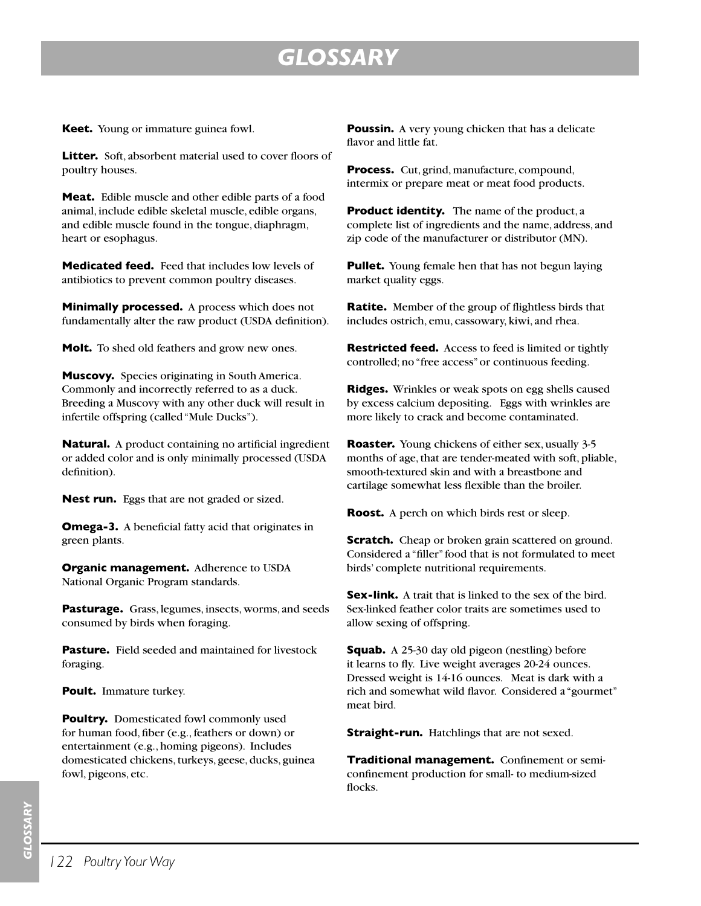## *GLOSSARY*

**Keet.** Young or immature guinea fowl.

**Litter.** Soft, absorbent material used to cover floors of poultry houses.

**Meat.** Edible muscle and other edible parts of a food animal, include edible skeletal muscle, edible organs, and edible muscle found in the tongue, diaphragm, heart or esophagus.

**Medicated feed.** Feed that includes low levels of antibiotics to prevent common poultry diseases.

**Minimally processed.** A process which does not fundamentally alter the raw product (USDA definition).

**Molt.** To shed old feathers and grow new ones.

**Muscovy.** Species originating in South America. Commonly and incorrectly referred to as a duck. Breeding a Muscovy with any other duck will result in infertile offspring (called "Mule Ducks").

**Natural.** A product containing no artificial ingredient or added color and is only minimally processed (USDA definition).

**Nest run.** Eggs that are not graded or sized.

**Omega-3.** A beneficial fatty acid that originates in green plants.

**Organic management.** Adherence to USDA National Organic Program standards.

**Pasturage.** Grass, legumes, insects, worms, and seeds consumed by birds when foraging.

**Pasture.** Field seeded and maintained for livestock foraging.

**Poult.** Immature turkey.

**Poultry.** Domesticated fowl commonly used for human food, fiber (e.g., feathers or down) or entertainment (e.g., homing pigeons). Includes domesticated chickens, turkeys, geese, ducks, guinea fowl, pigeons, etc.

**Poussin.** A very young chicken that has a delicate flavor and little fat.

**Process.** Cut, grind, manufacture, compound, intermix or prepare meat or meat food products.

**Product identity.** The name of the product, a complete list of ingredients and the name, address, and zip code of the manufacturer or distributor (MN).

**Pullet.** Young female hen that has not begun laying market quality eggs.

**Ratite.** Member of the group of flightless birds that includes ostrich, emu, cassowary, kiwi, and rhea.

**Restricted feed.** Access to feed is limited or tightly controlled; no "free access" or continuous feeding.

**Ridges.** Wrinkles or weak spots on egg shells caused by excess calcium depositing. Eggs with wrinkles are more likely to crack and become contaminated.

**Roaster.** Young chickens of either sex, usually 3-5 months of age, that are tender-meated with soft, pliable, smooth-textured skin and with a breastbone and cartilage somewhat less flexible than the broiler.

**Roost.** A perch on which birds rest or sleep.

**Scratch.** Cheap or broken grain scattered on ground. Considered a "filler" food that is not formulated to meet birds' complete nutritional requirements.

**Sex-link.** A trait that is linked to the sex of the bird. Sex-linked feather color traits are sometimes used to allow sexing of offspring.

**Squab.** A 25-30 day old pigeon (nestling) before it learns to fly. Live weight averages 20-24 ounces. Dressed weight is 14-16 ounces. Meat is dark with a rich and somewhat wild flavor. Considered a "gourmet" meat bird.

**Straight-run.** Hatchlings that are not sexed.

**Traditional management.** Confinement or semiconfinement production for small- to medium-sized flocks.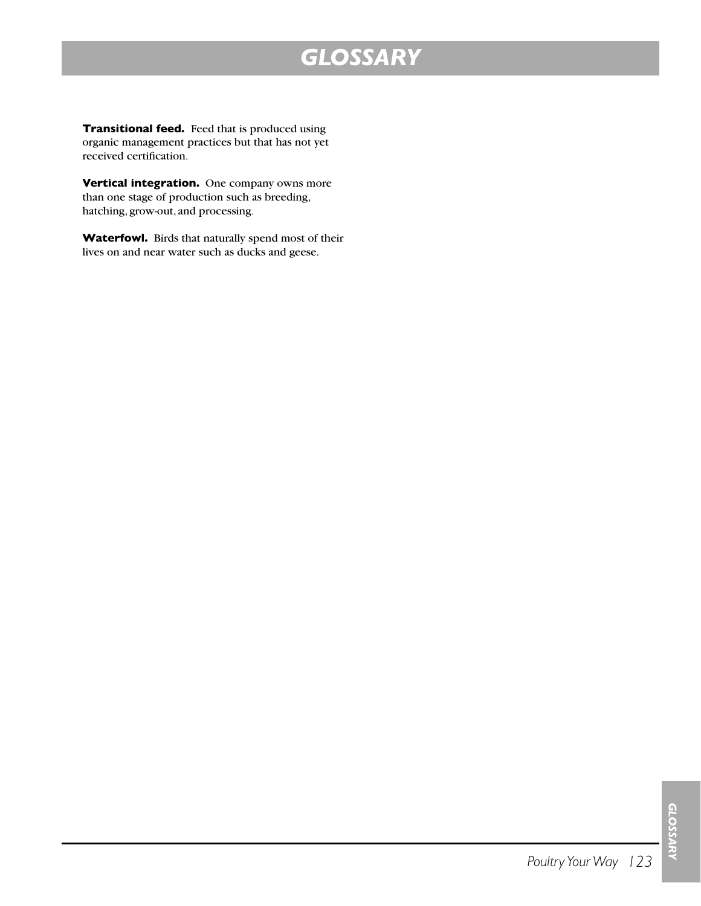## *GLOSSARY*

**Transitional feed.** Feed that is produced using organic management practices but that has not yet received certification.

**Vertical integration.** One company owns more than one stage of production such as breeding, hatching, grow-out, and processing.

**Waterfowl.** Birds that naturally spend most of their lives on and near water such as ducks and geese.